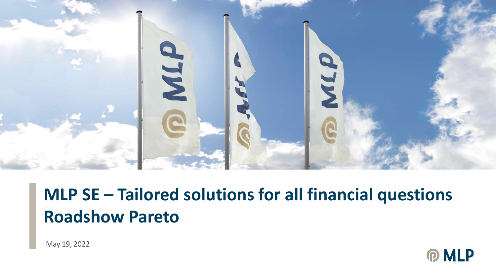

# **MLP SE – Tailored solutions for all financial questions Roadshow Pareto**

May 19, 2022

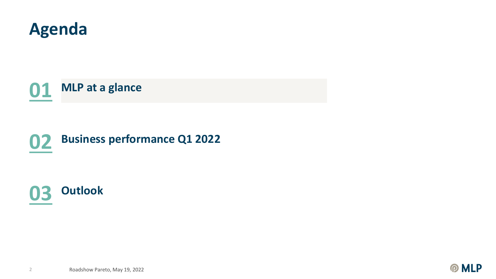

**MLP at a glance**

# **Business performance Q1 2022**



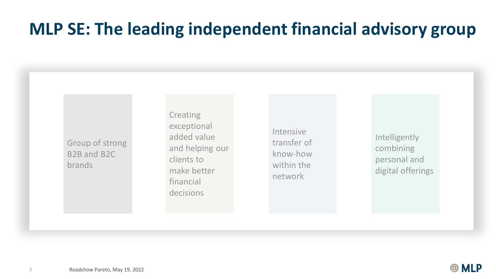### **MLP SE: The leading independent financial advisory group**

Group of strong B2B and B2C brands

**Creating** exceptional added value and helping our clients to make better financial decisions

Intensive transfer of know-how within the network

Intelligently combining personal and digital offerings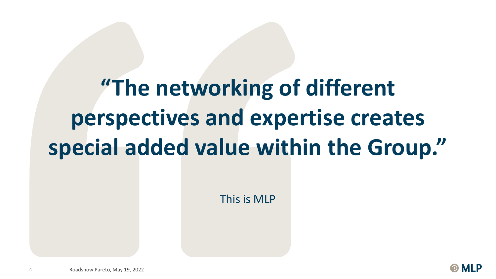# **"The networking of different perspectives and expertise creates special added value within the Group."**

This is MLP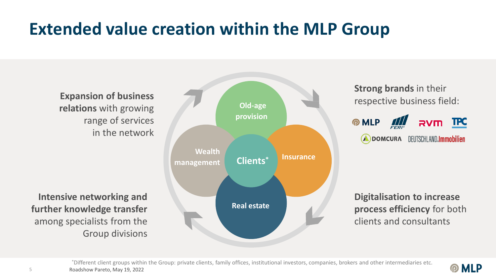### **Extended value creation within the MLP Group**

**Expansion of business relations** with growing range of services in the network

**Intensive networking and further knowledge transfer** among specialists from the Group divisions



**Strong brands** in their respective business field:



**Digitalisation to increase process efficiency** for both clients and consultants

**MLP** 

5 Roadshow Pareto, May 19, 2022 \*Different client groups within the Group: private clients, family offices, institutional investors, companies, brokers and other intermediaries etc.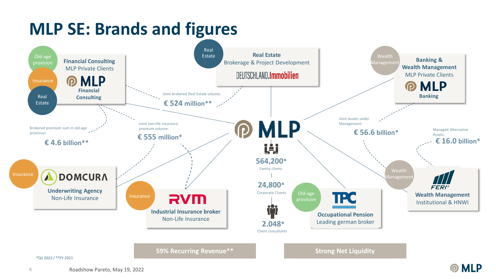### **MLP SE: Brands and figures**



\*Q1 2022 / \*\*FY 2021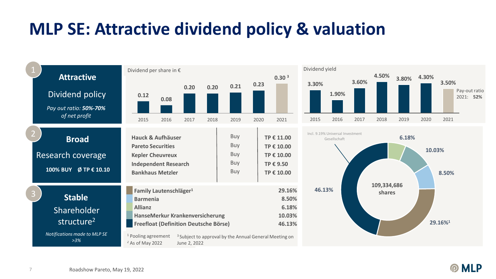### **MLP SE: Attractive dividend policy & valuation**



**MLP** 

 $\Omega$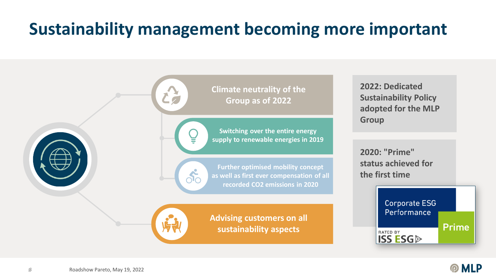# **Sustainability management becoming more important**



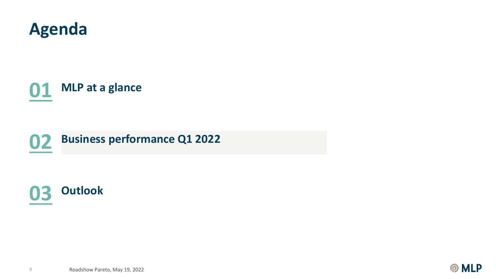

**MLP at a glance**





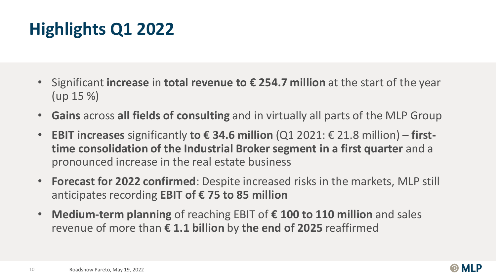# **Highlights Q1 2022**

- Significant **increase** in **total revenue to € 254.7 million** at the start of the year (up 15 %)
- **Gains** across **all fields of consulting** and in virtually all parts of the MLP Group
- **EBIT increases** significantly **to € 34.6 million** (Q1 2021: € 21.8 million) **firsttime consolidation of the Industrial Broker segment in a first quarter** and a pronounced increase in the real estate business
- **Forecast for 2022 confirmed**: Despite increased risks in the markets, MLP still anticipates recording **EBIT of € 75 to 85 million**
- **Medium-term planning** of reaching EBIT of **€ 100 to 110 million** and sales revenue of more than **€ 1.1 billion** by **the end of 2025** reaffirmed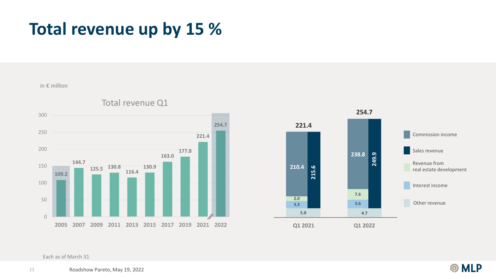#### **Total revenue up by 15 %**

in € million



Total revenue Q1



Each as of March 31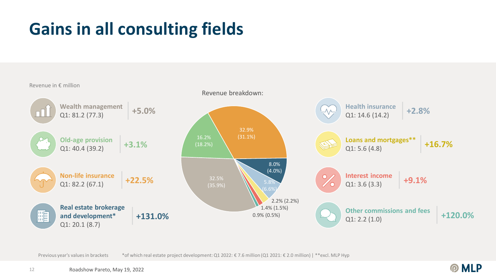# **Gains in all consulting fields**



Previous year's values in brackets \*6f which real estate project development: Q1 2022: € 7.6 million (Q1 2021: € 2.0 million) | \*\*excl. MLP Hyp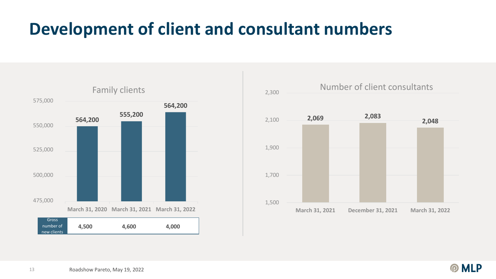### **Development of client and consultant numbers**





**PMLP**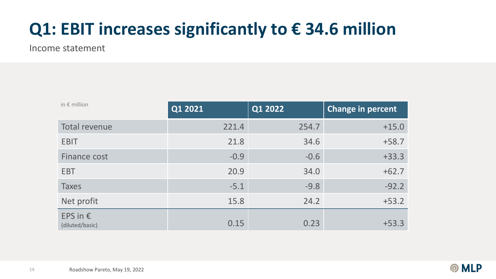# **Q1: EBIT increases significantly to € 34.6 million**

Income statement

| in $\epsilon$ million                | Q1 2021 | Q1 2022 | <b>Change in percent</b> |
|--------------------------------------|---------|---------|--------------------------|
| Total revenue                        | 221.4   | 254.7   | $+15.0$                  |
| <b>EBIT</b>                          | 21.8    | 34.6    | $+58.7$                  |
| Finance cost                         | $-0.9$  | $-0.6$  | $+33.3$                  |
| <b>EBT</b>                           | 20.9    | 34.0    | $+62.7$                  |
| <b>Taxes</b>                         | $-5.1$  | $-9.8$  | $-92.2$                  |
| Net profit                           | 15.8    | 24.2    | $+53.2$                  |
| EPS in $\epsilon$<br>(diluted/basic) | 0.15    | 0.23    | $+53.3$                  |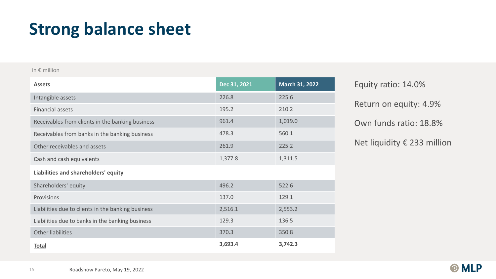#### **Strong balance sheet**

#### in € million

| <b>Assets</b>                                      | Dec 31, 2021 | <b>March 31, 2022</b> |  |  |
|----------------------------------------------------|--------------|-----------------------|--|--|
| Intangible assets                                  | 226.8        | 225.6                 |  |  |
| <b>Financial assets</b>                            | 195.2        | 210.2                 |  |  |
| Receivables from clients in the banking business   | 961.4        | 1,019.0               |  |  |
| Receivables from banks in the banking business     | 478.3        | 560.1                 |  |  |
| Other receivables and assets                       | 261.9        | 225.2                 |  |  |
| Cash and cash equivalents                          | 1,377.8      | 1,311.5               |  |  |
| Liabilities and shareholders' equity               |              |                       |  |  |
| Shareholders' equity                               | 496.2        | 522.6                 |  |  |
| Provisions                                         | 137.0        | 129.1                 |  |  |
| Liabilities due to clients in the banking business | 2,516.1      | 2,553.2               |  |  |
| Liabilities due to banks in the banking business   | 129.3        | 136.5                 |  |  |
| Other liabilities                                  | 370.3        | 350.8                 |  |  |
| <b>Total</b>                                       | 3,693.4      | 3,742.3               |  |  |

Return on equity: 4.9% Equity ratio: 14.0% Own funds ratio: 18.8% Net liquidity € 233 million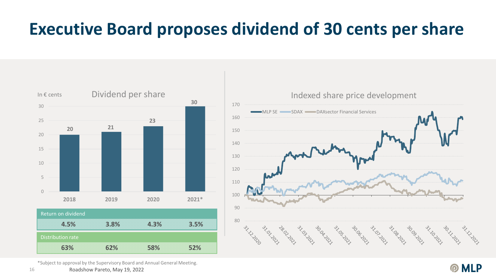#### **Executive Board proposes dividend of 30 cents per share**



Indexed share price development 170 MLP SE SDAX DAXsector Financial Services 160 150 140 130 120 110 100 90 80 **SILLING** Ash Rock go da da da da da da ass and racing CONSIGIOS Assissant st. 10. 20. Le

\*Subject to approval by the Supervisory Board and Annual General Meeting.

**PMLP**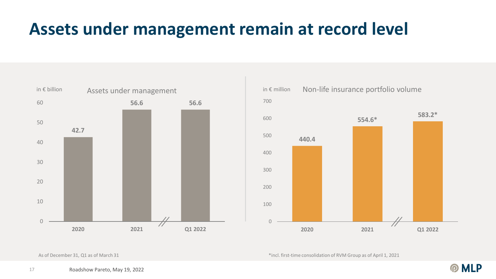#### **Assets under management remain at record level**





\*incl. first-time consolidation of RVM Group as of April 1, 2021

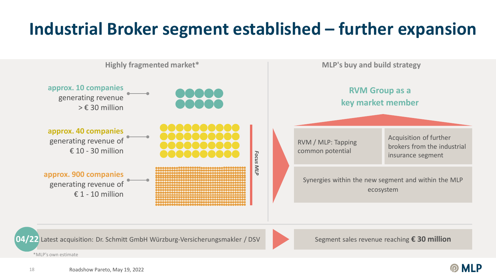# **Industrial Broker segment established – further expansion**

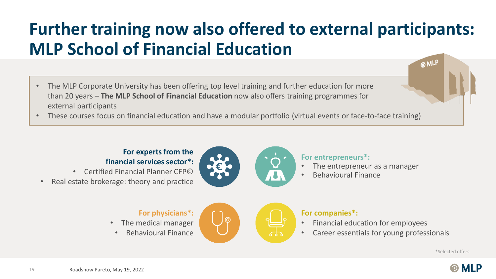# **Further training now also offered to external participants: MLP School of Financial Education**

- The MLP Corporate University has been offering top level training and further education for more than 20 years – **The MLP School of Financial Education** now also offers training programmes for external participants
- These courses focus on financial education and have a modular portfolio (virtual events or face-to-face training)

#### **For experts from the financial services sector\*:**

- Certified Financial Planner CFP©
- Real estate brokerage: theory and practice



**For entrepreneurs\*:**

- The entrepreneur as a manager
- Behavioural Finance

#### **For physicians\*:**

- The medical manager
- Behavioural Finance



#### **For companies\*:**

- Financial education for employees
- Career essentials for young professionals

\*Selected offers

**@MLP** 

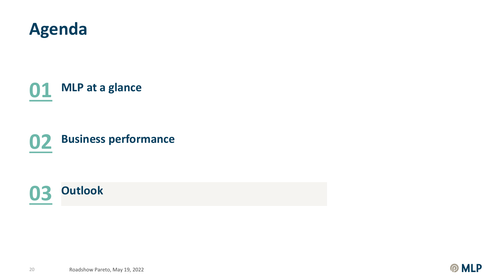

**MLP at a glance**

**Business performance**



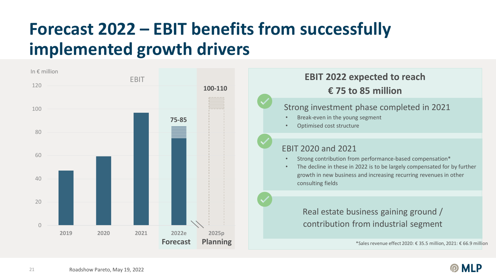# **Forecast 2022 – EBIT benefits from successfully implemented growth drivers**

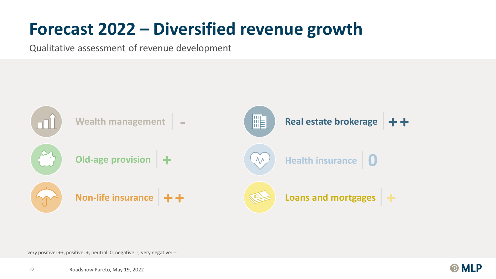### **Forecast 2022 – Diversified revenue growth**

Qualitative assessment of revenue development



very positive: ++, positive: +, neutral: 0, negative: -, very negative: --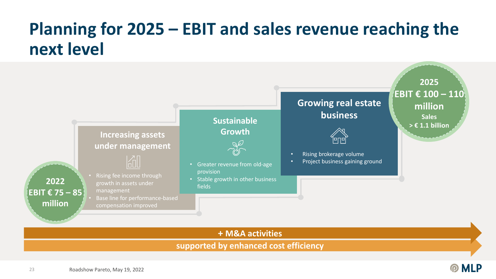### **Planning for 2025 – EBIT and sales revenue reaching the next level**



**PMLP**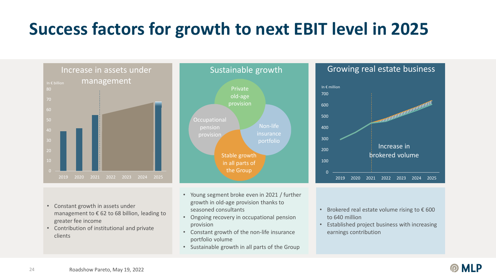# **Success factors for growth to next EBIT level in 2025**



- Constant growth in assets under management to € 62 to 68 billion, leading to greater fee income
- Contribution of institutional and private clients



- Young segment broke even in 2021 / further growth in old-age provision thanks to seasoned consultants
- Ongoing recovery in occupational pension provision
- Constant growth of the non-life insurance portfolio volume
- Sustainable growth in all parts of the Group





- Brokered real estate volume rising to  $\epsilon$  600 to 640 million
- Established project business with increasing earnings contribution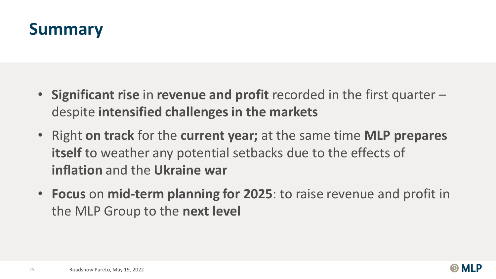#### **Summary**

- **Significant rise** in **revenue and profit** recorded in the first quarter despite **intensified challenges in the markets**
- Right **on track** for the **current year;** at the same time **MLP prepares itself** to weather any potential setbacks due to the effects of **inflation** and the **Ukraine war**
- **Focus** on **mid-term planning for 2025**: to raise revenue and profit in the MLP Group to the **next level**